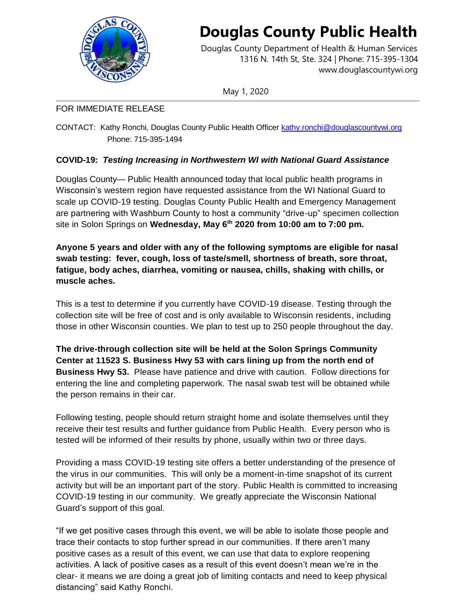

## **Douglas County Public Health**

Douglas County Department of Health & Human Services 1316 N. 14th St, Ste. 324 | Phone: 715-395-1304 [www.douglascountywi.org](http://www.douglascountywi.org/)

May 1, 2020

## FOR IMMEDIATE RELEASE

CONTACT: Kathy Ronchi, Douglas County Public Health Officer [kathy.ronchi@douglascountywi.org](mailto:kelli.engen@sccwi.gov) Phone: 715-395-1494

## **COVID-19:** *Testing Increasing in Northwestern WI with National Guard Assistance*

Douglas County— Public Health announced today that local public health programs in Wisconsin's western region have requested assistance from the WI National Guard to scale up COVID-19 testing. Douglas County Public Health and Emergency Management are partnering with Washburn County to host a community "drive-up" specimen collection site in Solon Springs on **Wednesday, May 6th 2020 from 10:00 am to 7:00 pm.** 

**Anyone 5 years and older with any of the following symptoms are eligible for nasal swab testing: fever, cough, loss of taste/smell, shortness of breath, sore throat, fatigue, body aches, diarrhea, vomiting or nausea, chills, shaking with chills, or muscle aches.** 

This is a test to determine if you currently have COVID-19 disease. Testing through the collection site will be free of cost and is only available to Wisconsin residents, including those in other Wisconsin counties. We plan to test up to 250 people throughout the day.

**The drive-through collection site will be held at the Solon Springs Community Center at 11523 S. Business Hwy 53 with cars lining up from the north end of Business Hwy 53.** Please have patience and drive with caution. Follow directions for entering the line and completing paperwork. The nasal swab test will be obtained while the person remains in their car.

Following testing, people should return straight home and isolate themselves until they receive their test results and further guidance from Public Health. Every person who is tested will be informed of their results by phone, usually within two or three days.

Providing a mass COVID-19 testing site offers a better understanding of the presence of the virus in our communities. This will only be a moment-in-time snapshot of its current activity but will be an important part of the story. Public Health is committed to increasing COVID-19 testing in our community. We greatly appreciate the Wisconsin National Guard's support of this goal.

"If we get positive cases through this event, we will be able to isolate those people and trace their contacts to stop further spread in our communities. If there aren't many positive cases as a result of this event, we can use that data to explore reopening activities. A lack of positive cases as a result of this event doesn't mean we're in the clear- it means we are doing a great job of limiting contacts and need to keep physical distancing" said Kathy Ronchi.